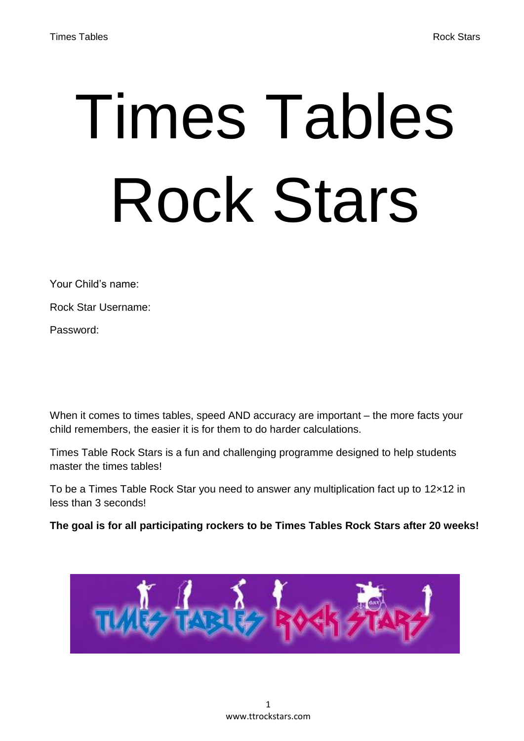# Times Tables Rock Stars

Your Child's name:

Rock Star Username:

Password:

When it comes to times tables, speed AND accuracy are important – the more facts your child remembers, the easier it is for them to do harder calculations.

Times Table Rock Stars is a fun and challenging programme designed to help students master the times tables!

To be a Times Table Rock Star you need to answer any multiplication fact up to 12×12 in less than 3 seconds!

**The goal is for all participating rockers to be Times Tables Rock Stars after 20 weeks!**

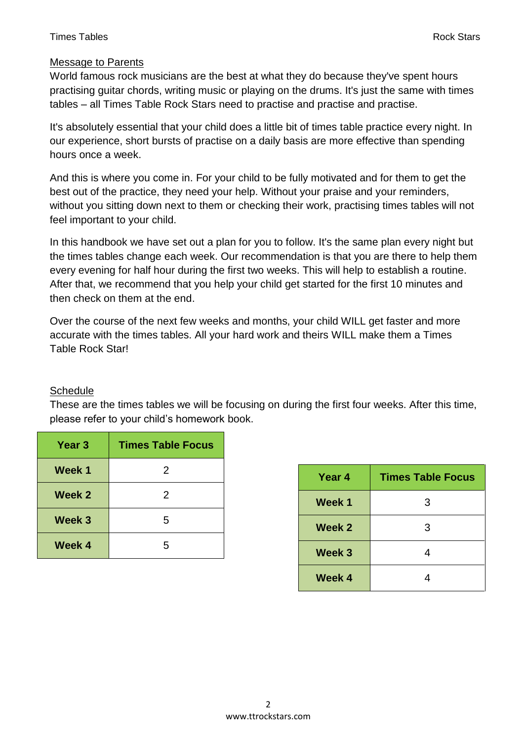### **Times Tables Rock Stars Rock Stars Rock Stars Rock Stars Rock Stars Rock Stars**

# Message to Parents

World famous rock musicians are the best at what they do because they've spent hours practising guitar chords, writing music or playing on the drums. It's just the same with times tables – all Times Table Rock Stars need to practise and practise and practise.

It's absolutely essential that your child does a little bit of times table practice every night. In our experience, short bursts of practise on a daily basis are more effective than spending hours once a week.

And this is where you come in. For your child to be fully motivated and for them to get the best out of the practice, they need your help. Without your praise and your reminders, without you sitting down next to them or checking their work, practising times tables will not feel important to your child.

In this handbook we have set out a plan for you to follow. It's the same plan every night but the times tables change each week. Our recommendation is that you are there to help them every evening for half hour during the first two weeks. This will help to establish a routine. After that, we recommend that you help your child get started for the first 10 minutes and then check on them at the end.

Over the course of the next few weeks and months, your child WILL get faster and more accurate with the times tables. All your hard work and theirs WILL make them a Times Table Rock Star!

# **Schedule**

These are the times tables we will be focusing on during the first four weeks. After this time, please refer to your child's homework book.

| Year 3 | <b>Times Table Focus</b> |
|--------|--------------------------|
| Week 1 | 2                        |
| Week 2 | 2                        |
| Week 3 | 5                        |
| Week 4 | 5                        |

| Year 4            | <b>Times Table Focus</b> |
|-------------------|--------------------------|
| Week 1            | 3                        |
| Week 2            | 3                        |
| Week <sub>3</sub> | 4                        |
| Week 4            | Λ                        |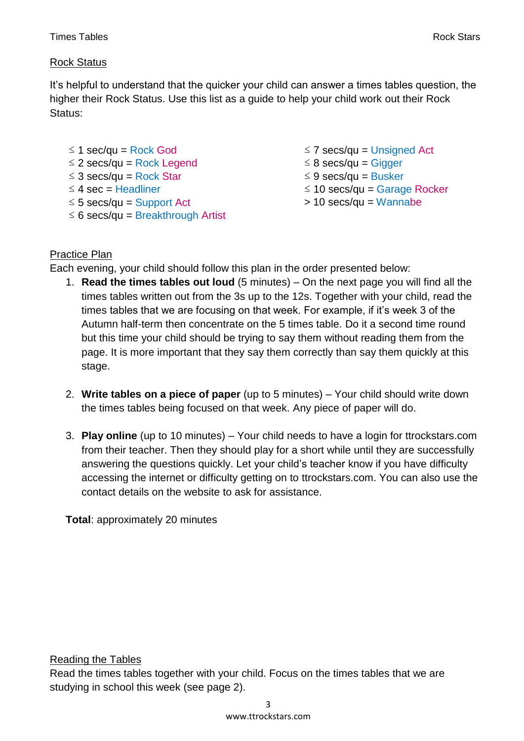# Rock Status

It's helpful to understand that the quicker your child can answer a times tables question, the higher their Rock Status. Use this list as a guide to help your child work out their Rock Status:

- ≤ 1 sec/qu = Rock God
- ≤ 2 secs/qu = Rock Legend
- ≤ 3 secs/qu = Rock Star ≤ 4 sec = Headliner
- 
- ≤ 5 secs/qu = Support Act
- ≤ 6 secs/qu = Breakthrough Artist
- $\leq$  7 secs/qu = Unsigned Act
- ≤ 8 secs/qu = Gigger
- $≤$  9 secs/qu = Busker
- ≤ 10 secs/qu = Garage Rocker
- > 10 secs/qu = Wannabe

# Practice Plan

Each evening, your child should follow this plan in the order presented below:

- 1. **Read the times tables out loud** (5 minutes) On the next page you will find all the times tables written out from the 3s up to the 12s. Together with your child, read the times tables that we are focusing on that week. For example, if it's week 3 of the Autumn half-term then concentrate on the 5 times table. Do it a second time round but this time your child should be trying to say them without reading them from the page. It is more important that they say them correctly than say them quickly at this stage.
- 2. **Write tables on a piece of paper** (up to 5 minutes) Your child should write down the times tables being focused on that week. Any piece of paper will do.
- 3. **Play online** (up to 10 minutes) Your child needs to have a login for ttrockstars.com from their teacher. Then they should play for a short while until they are successfully answering the questions quickly. Let your child's teacher know if you have difficulty accessing the internet or difficulty getting on to ttrockstars.com. You can also use the contact details on the website to ask for assistance.

**Total**: approximately 20 minutes

Reading the Tables

Read the times tables together with your child. Focus on the times tables that we are studying in school this week (see page 2).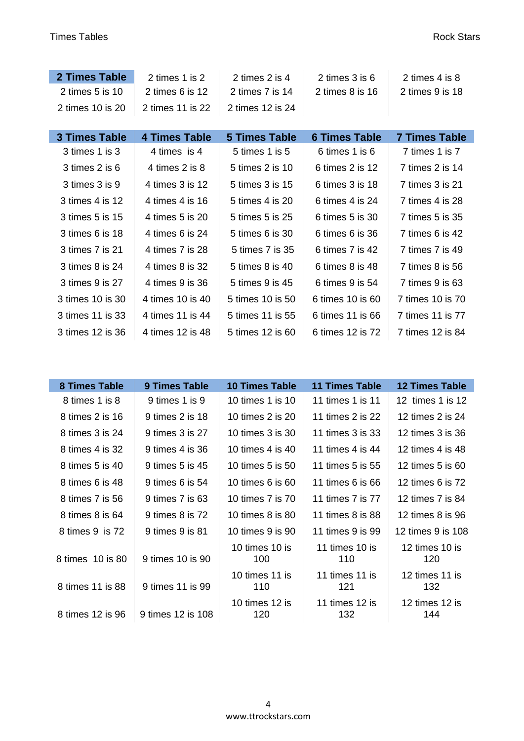ı

| 2 Times Table                        | 2 times 1 is 2       | 2 times 2 is 4       | 2 times 3 is 6       | 2 times 4 is 8       |  |
|--------------------------------------|----------------------|----------------------|----------------------|----------------------|--|
| 2 times $5$ is $10$                  | 2 times $6$ is $12$  | 2 times 7 is 14      | 2 times $8$ is $16$  | 2 times 9 is 18      |  |
| 2 times 10 is 20<br>2 times 11 is 22 |                      | 2 times 12 is 24     |                      |                      |  |
|                                      |                      |                      |                      |                      |  |
| <b>3 Times Table</b>                 | <b>4 Times Table</b> | <b>5 Times Table</b> | <b>6 Times Table</b> | <b>7 Times Table</b> |  |
| 3 times 1 is 3                       | 4 times is 4         | 5 times 1 is 5       | 6 times 1 is 6       | 7 times 1 is 7       |  |
| 3 times 2 is 6                       | 4 times 2 is 8       | 5 times 2 is 10      | 6 times 2 is $12$    | 7 times 2 is 14      |  |
| 3 times 3 is 9                       | 4 times 3 is 12      | 5 times 3 is 15      | 6 times 3 is 18      | 7 times 3 is 21      |  |
| 3 times 4 is 12                      | 4 times 4 is 16      | 5 times 4 is 20      | 6 times 4 is 24      | 7 times 4 is 28      |  |
| 3 times 5 is 15                      | 4 times 5 is 20      | 5 times 5 is 25      | 6 times 5 is 30      | 7 times 5 is 35      |  |
| 3 times 6 is 18                      | 4 times 6 is 24      | 5 times 6 is 30      | 6 times 6 is 36      | 7 times 6 is 42      |  |
| 3 times 7 is 21                      | 4 times 7 is 28      | 5 times 7 is 35      | 6 times 7 is 42      | 7 times 7 is 49      |  |
| 3 times 8 is 24                      | 4 times 8 is 32      | 5 times 8 is 40      | $6 \times 8$ is 48   | 7 times 8 is 56      |  |
| 3 times 9 is 27                      | 4 times 9 is 36      | 5 times 9 is 45      | 6 times $9$ is $54$  | 7 times 9 is 63      |  |
| 3 times 10 is 30                     | 4 times 10 is 40     | 5 times 10 is 50     | 6 times 10 is 60     | 7 times 10 is 70     |  |
| 3 times 11 is 33                     | 4 times 11 is 44     | 5 times 11 is 55     | 6 times 11 is 66     | 7 times 11 is 77     |  |
| 3 times 12 is 36                     | 4 times 12 is 48     | 5 times 12 is 60     | 6 times 12 is 72     | 7 times 12 is 84     |  |

| <b>8 Times Table</b>                  | <b>9 Times Table</b> | <b>10 Times Table</b> | <b>11 Times Table</b> | <b>12 Times Table</b> |
|---------------------------------------|----------------------|-----------------------|-----------------------|-----------------------|
| 8 times 1 is 8                        | 9 times 1 is 9       | 10 times 1 is 10      | 11 times 1 is 11      | 12 times 1 is 12      |
| 8 times 2 is 16                       | 9 times 2 is 18      | 10 times 2 is 20      | 11 times 2 is 22      | 12 times 2 is 24      |
| 8 times 3 is 24                       | 9 times 3 is 27      | 10 times 3 is 30      | 11 times 3 is 33      | 12 times 3 is 36      |
| 8 times 4 is 32                       | 9 times 4 is 36      | 10 times 4 is 40      | 11 times 4 is 44      | 12 times 4 is 48      |
| 8 times 5 is 40                       | 9 times 5 is 45      | 10 times 5 is 50      | 11 times 5 is 55      | 12 times 5 is 60      |
| 8 times 6 is 48                       | 9 times 6 is 54      | 10 times 6 is 60      | 11 times 6 is 66      | 12 times 6 is 72      |
| 8 times 7 is 56                       | 9 times 7 is 63      | 10 times 7 is 70      | 11 times 7 is 77      | 12 times 7 is 84      |
| 8 times 8 is 64                       | 9 times 8 is 72      | 10 times 8 is 80      | 11 times 8 is 88      | 12 times 8 is 96      |
| 8 times 9 is 72                       | 9 times 9 is 81      | 10 times 9 is 90      | 11 times 9 is 99      | 12 times 9 is 108     |
| 8 times 10 is 80                      | 9 times 10 is 90     | 10 times 10 is<br>100 | 11 times 10 is<br>110 | 12 times 10 is<br>120 |
| 8 times 11 is 88                      | 9 times 11 is 99     | 10 times 11 is<br>110 | 11 times 11 is<br>121 | 12 times 11 is<br>132 |
| 8 times 12 is 96<br>9 times 12 is 108 |                      | 10 times 12 is<br>120 | 11 times 12 is<br>132 | 12 times 12 is<br>144 |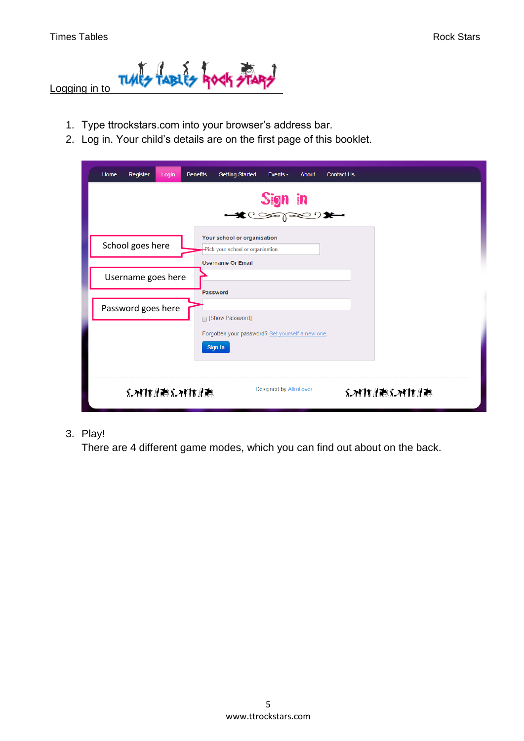

- 1. Type ttrockstars.com into your browser's address bar.
- 2. Log in. Your child's details are on the first page of this booklet.

| Register<br>Home<br><b>Benefits</b><br>Login | <b>Getting Started</b><br><b>Contact Us</b><br>Events $\overline{\phantom{a}}$<br><b>About</b><br>$S$ ign in |
|----------------------------------------------|--------------------------------------------------------------------------------------------------------------|
| School goes here                             | Your school or organisation<br>Pick your school or organisation<br><b>Username Or Email</b>                  |
| Username goes here                           | <b>Password</b>                                                                                              |
| Password goes here                           | □ [Show Password]<br>Forgotten your password? Set yourself a new one.<br>Sign In                             |
| えっれかんまくっとけんま                                 | Designed by Allrollover.<br>メズけだしゃくえんけんや                                                                     |

# 3. Play!

There are 4 different game modes, which you can find out about on the back.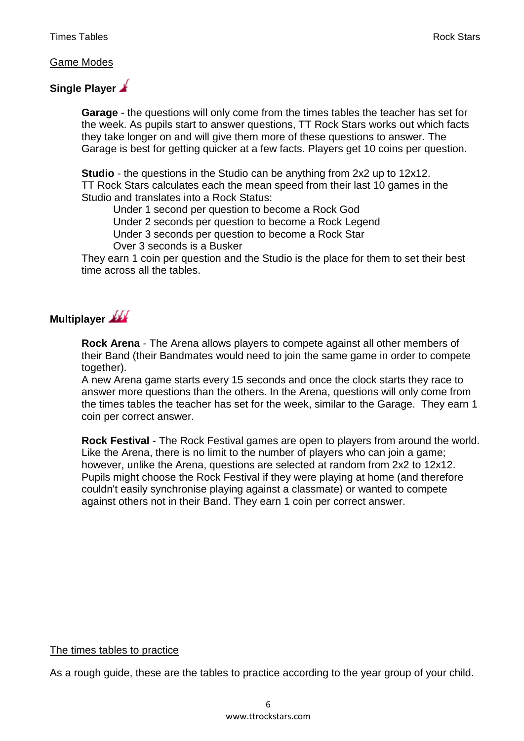#### Game Modes

# **Single Player**

**Garage** - the questions will only come from the times tables the teacher has set for the week. As pupils start to answer questions, TT Rock Stars works out which facts they take longer on and will give them more of these questions to answer. The Garage is best for getting quicker at a few facts. Players get 10 coins per question.

**Studio** - the questions in the Studio can be anything from 2x2 up to 12x12. TT Rock Stars calculates each the mean speed from their last 10 games in the Studio and translates into a Rock Status:

Under 1 second per question to become a Rock God

Under 2 seconds per question to become a Rock Legend

Under 3 seconds per question to become a Rock Star

Over 3 seconds is a Busker

They earn 1 coin per question and the Studio is the place for them to set their best time across all the tables.

# **Multiplayer**

**Rock Arena** - The Arena allows players to compete against all other members of their Band (their Bandmates would need to join the same game in order to compete together).

A new Arena game starts every 15 seconds and once the clock starts they race to answer more questions than the others. In the Arena, questions will only come from the times tables the teacher has set for the week, similar to the Garage. They earn 1 coin per correct answer.

**Rock Festival** - The Rock Festival games are open to players from around the world. Like the Arena, there is no limit to the number of players who can join a game; however, unlike the Arena, questions are selected at random from 2x2 to 12x12. Pupils might choose the Rock Festival if they were playing at home (and therefore couldn't easily synchronise playing against a classmate) or wanted to compete against others not in their Band. They earn 1 coin per correct answer.

#### The times tables to practice

As a rough guide, these are the tables to practice according to the year group of your child.